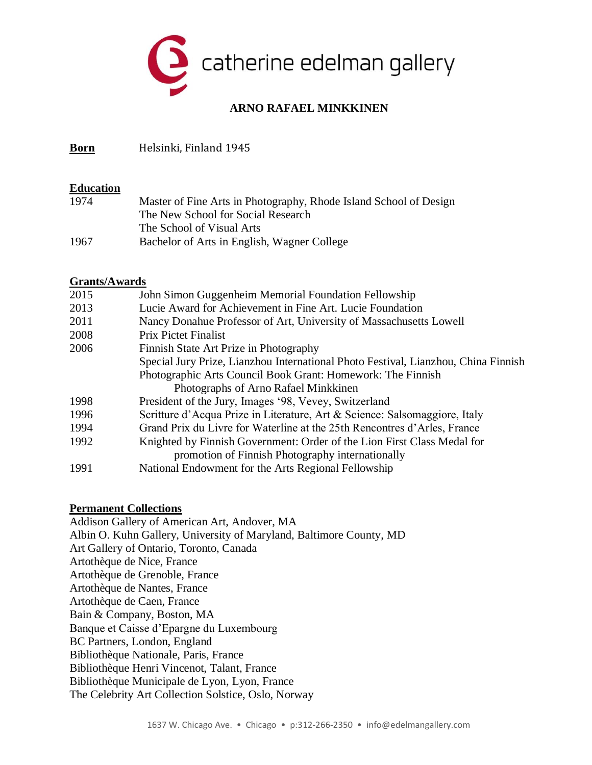

### **ARNO RAFAEL MINKKINEN**

**Born** Helsinki, Finland 1945

#### **Education**

| 1974 | Master of Fine Arts in Photography, Rhode Island School of Design |
|------|-------------------------------------------------------------------|
|      | The New School for Social Research                                |
|      | The School of Visual Arts                                         |
| 1967 | Bachelor of Arts in English, Wagner College                       |

#### **Grants/Awards**

| 2015 | John Simon Guggenheim Memorial Foundation Fellowship                               |
|------|------------------------------------------------------------------------------------|
| 2013 | Lucie Award for Achievement in Fine Art. Lucie Foundation                          |
| 2011 | Nancy Donahue Professor of Art, University of Massachusetts Lowell                 |
| 2008 | <b>Prix Pictet Finalist</b>                                                        |
| 2006 | Finnish State Art Prize in Photography                                             |
|      | Special Jury Prize, Lianzhou International Photo Festival, Lianzhou, China Finnish |
|      | Photographic Arts Council Book Grant: Homework: The Finnish                        |
|      | Photographs of Arno Rafael Minkkinen                                               |
| 1998 | President of the Jury, Images '98, Vevey, Switzerland                              |
| 1996 | Scritture d'Acqua Prize in Literature, Art & Science: Salsomaggiore, Italy         |
| 1994 | Grand Prix du Livre for Waterline at the 25th Rencontres d'Arles, France           |
| 1992 | Knighted by Finnish Government: Order of the Lion First Class Medal for            |
|      | promotion of Finnish Photography internationally                                   |
| 1991 | National Endowment for the Arts Regional Fellowship                                |

#### **Permanent Collections**

Addison Gallery of American Art, Andover, MA Albin O. Kuhn Gallery, University of Maryland, Baltimore County, MD Art Gallery of Ontario, Toronto, Canada Artothèque de Nice, France Artothèque de Grenoble, France Artothèque de Nantes, France Artothèque de Caen, France Bain & Company, Boston, MA Banque et Caisse d'Epargne du Luxembourg BC Partners, London, England Bibliothèque Nationale, Paris, France Bibliothèque Henri Vincenot, Talant, France Bibliothèque Municipale de Lyon, Lyon, France The Celebrity Art Collection Solstice, Oslo, Norway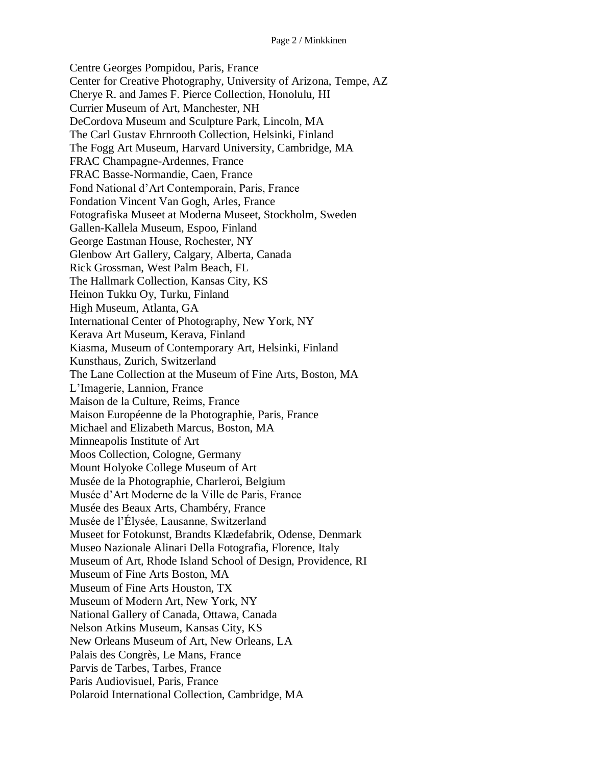Centre Georges Pompidou, Paris, France Center for Creative Photography, University of Arizona, Tempe, AZ Cherye R. and James F. Pierce Collection, Honolulu, HI Currier Museum of Art, Manchester, NH DeCordova Museum and Sculpture Park, Lincoln, MA The Carl Gustav Ehrnrooth Collection, Helsinki, Finland The Fogg Art Museum, Harvard University, Cambridge, MA FRAC Champagne-Ardennes, France FRAC Basse-Normandie, Caen, France Fond National d'Art Contemporain, Paris, France Fondation Vincent Van Gogh, Arles, France Fotografiska Museet at Moderna Museet, Stockholm, Sweden Gallen-Kallela Museum, Espoo, Finland George Eastman House, Rochester, NY Glenbow Art Gallery, Calgary, Alberta, Canada Rick Grossman, West Palm Beach, FL The Hallmark Collection, Kansas City, KS Heinon Tukku Oy, Turku, Finland High Museum, Atlanta, GA International Center of Photography, New York, NY Kerava Art Museum, Kerava, Finland Kiasma, Museum of Contemporary Art, Helsinki, Finland Kunsthaus, Zurich, Switzerland The Lane Collection at the Museum of Fine Arts, Boston, MA L'Imagerie, Lannion, France Maison de la Culture, Reims, France Maison Européenne de la Photographie, Paris, France Michael and Elizabeth Marcus, Boston, MA Minneapolis Institute of Art Moos Collection, Cologne, Germany Mount Holyoke College Museum of Art Musée de la Photographie, Charleroi, Belgium Musée d'Art Moderne de la Ville de Paris, France Musée des Beaux Arts, Chambéry, France Musée de l'Élysée, Lausanne, Switzerland Museet for Fotokunst, Brandts Klædefabrik, Odense, Denmark Museo Nazionale Alinari Della Fotografia, Florence, Italy Museum of Art, Rhode Island School of Design, Providence, RI Museum of Fine Arts Boston, MA Museum of Fine Arts Houston, TX Museum of Modern Art, New York, NY National Gallery of Canada, Ottawa, Canada Nelson Atkins Museum, Kansas City, KS New Orleans Museum of Art, New Orleans, LA Palais des Congrès, Le Mans, France Parvis de Tarbes, Tarbes, France Paris Audiovisuel, Paris, France Polaroid International Collection, Cambridge, MA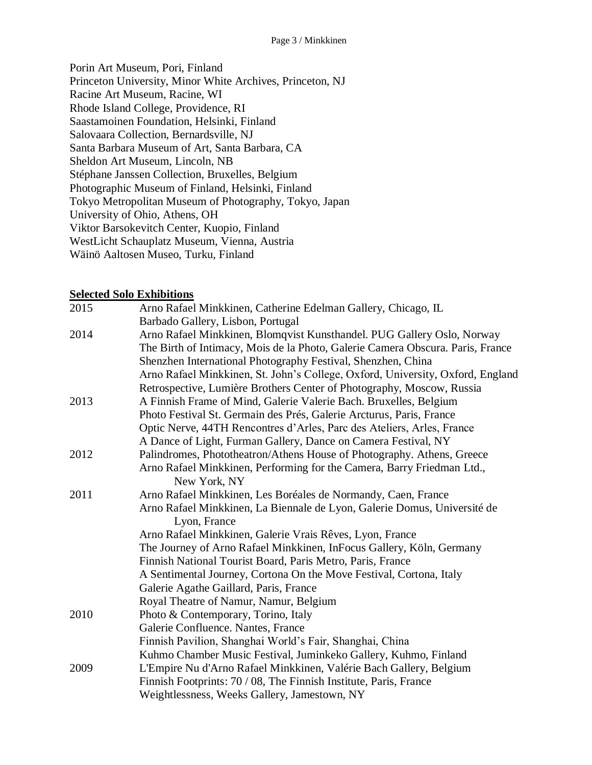Porin Art Museum, Pori, Finland Princeton University, Minor White Archives, Princeton, NJ Racine Art Museum, Racine, WI Rhode Island College, Providence, RI Saastamoinen Foundation, Helsinki, Finland Salovaara Collection, Bernardsville, NJ Santa Barbara Museum of Art, Santa Barbara, CA Sheldon Art Museum, Lincoln, NB Stéphane Janssen Collection, Bruxelles, Belgium Photographic Museum of Finland, Helsinki, Finland Tokyo Metropolitan Museum of Photography, Tokyo, Japan University of Ohio, Athens, OH Viktor Barsokevitch Center, Kuopio, Finland WestLicht Schauplatz Museum, Vienna, Austria Wäinö Aaltosen Museo, Turku, Finland

#### **Selected Solo Exhibitions**

| 2015 | Arno Rafael Minkkinen, Catherine Edelman Gallery, Chicago, IL                  |
|------|--------------------------------------------------------------------------------|
|      | Barbado Gallery, Lisbon, Portugal                                              |
| 2014 | Arno Rafael Minkkinen, Blomqvist Kunsthandel. PUG Gallery Oslo, Norway         |
|      | The Birth of Intimacy, Mois de la Photo, Galerie Camera Obscura. Paris, France |
|      | Shenzhen International Photography Festival, Shenzhen, China                   |
|      | Arno Rafael Minkkinen, St. John's College, Oxford, University, Oxford, England |
|      | Retrospective, Lumière Brothers Center of Photography, Moscow, Russia          |
| 2013 | A Finnish Frame of Mind, Galerie Valerie Bach. Bruxelles, Belgium              |
|      | Photo Festival St. Germain des Prés, Galerie Arcturus, Paris, France           |
|      | Optic Nerve, 44TH Rencontres d'Arles, Parc des Ateliers, Arles, France         |
|      | A Dance of Light, Furman Gallery, Dance on Camera Festival, NY                 |
| 2012 | Palindromes, Phototheatron/Athens House of Photography. Athens, Greece         |
|      | Arno Rafael Minkkinen, Performing for the Camera, Barry Friedman Ltd.,         |
|      | New York, NY                                                                   |
| 2011 | Arno Rafael Minkkinen, Les Boréales de Normandy, Caen, France                  |
|      | Arno Rafael Minkkinen, La Biennale de Lyon, Galerie Domus, Université de       |
|      | Lyon, France                                                                   |
|      | Arno Rafael Minkkinen, Galerie Vrais Rêves, Lyon, France                       |
|      | The Journey of Arno Rafael Minkkinen, InFocus Gallery, Köln, Germany           |
|      | Finnish National Tourist Board, Paris Metro, Paris, France                     |
|      | A Sentimental Journey, Cortona On the Move Festival, Cortona, Italy            |
|      | Galerie Agathe Gaillard, Paris, France                                         |
|      | Royal Theatre of Namur, Namur, Belgium                                         |
| 2010 | Photo & Contemporary, Torino, Italy                                            |
|      | Galerie Confluence. Nantes, France                                             |
|      | Finnish Pavilion, Shanghai World's Fair, Shanghai, China                       |
|      | Kuhmo Chamber Music Festival, Juminkeko Gallery, Kuhmo, Finland                |
| 2009 | L'Empire Nu d'Arno Rafael Minkkinen, Valérie Bach Gallery, Belgium             |
|      | Finnish Footprints: 70 / 08, The Finnish Institute, Paris, France              |
|      | Weightlessness, Weeks Gallery, Jamestown, NY                                   |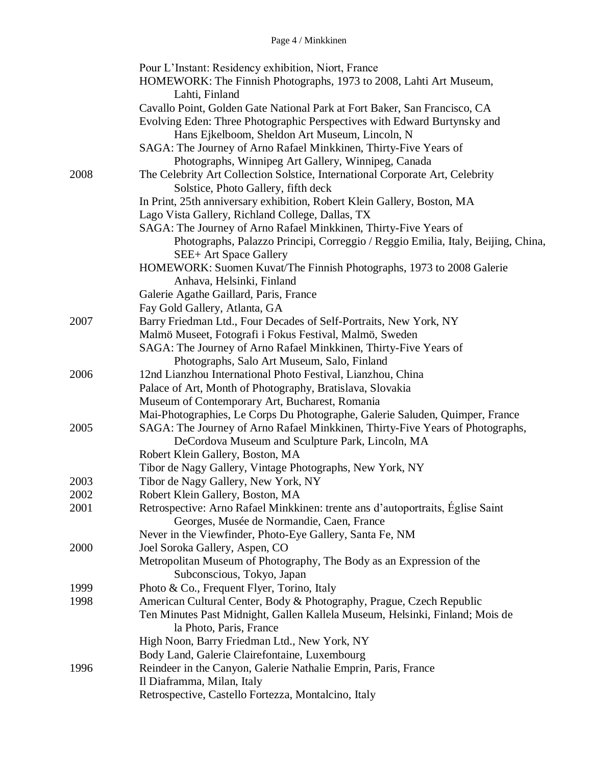|      | Pour L'Instant: Residency exhibition, Niort, France                              |
|------|----------------------------------------------------------------------------------|
|      | HOMEWORK: The Finnish Photographs, 1973 to 2008, Lahti Art Museum,               |
|      | Lahti, Finland                                                                   |
|      | Cavallo Point, Golden Gate National Park at Fort Baker, San Francisco, CA        |
|      | Evolving Eden: Three Photographic Perspectives with Edward Burtynsky and         |
|      | Hans Ejkelboom, Sheldon Art Museum, Lincoln, N                                   |
|      | SAGA: The Journey of Arno Rafael Minkkinen, Thirty-Five Years of                 |
|      | Photographs, Winnipeg Art Gallery, Winnipeg, Canada                              |
| 2008 | The Celebrity Art Collection Solstice, International Corporate Art, Celebrity    |
|      | Solstice, Photo Gallery, fifth deck                                              |
|      | In Print, 25th anniversary exhibition, Robert Klein Gallery, Boston, MA          |
|      | Lago Vista Gallery, Richland College, Dallas, TX                                 |
|      | SAGA: The Journey of Arno Rafael Minkkinen, Thirty-Five Years of                 |
|      | Photographs, Palazzo Principi, Correggio / Reggio Emilia, Italy, Beijing, China, |
|      | SEE+ Art Space Gallery                                                           |
|      | HOMEWORK: Suomen Kuvat/The Finnish Photographs, 1973 to 2008 Galerie             |
|      | Anhava, Helsinki, Finland                                                        |
|      | Galerie Agathe Gaillard, Paris, France                                           |
|      | Fay Gold Gallery, Atlanta, GA                                                    |
| 2007 | Barry Friedman Ltd., Four Decades of Self-Portraits, New York, NY                |
|      | Malmö Museet, Fotografi i Fokus Festival, Malmö, Sweden                          |
|      | SAGA: The Journey of Arno Rafael Minkkinen, Thirty-Five Years of                 |
|      | Photographs, Salo Art Museum, Salo, Finland                                      |
| 2006 | 12nd Lianzhou International Photo Festival, Lianzhou, China                      |
|      | Palace of Art, Month of Photography, Bratislava, Slovakia                        |
|      | Museum of Contemporary Art, Bucharest, Romania                                   |
|      | Mai-Photographies, Le Corps Du Photographe, Galerie Saluden, Quimper, France     |
| 2005 | SAGA: The Journey of Arno Rafael Minkkinen, Thirty-Five Years of Photographs,    |
|      | DeCordova Museum and Sculpture Park, Lincoln, MA                                 |
|      | Robert Klein Gallery, Boston, MA                                                 |
|      | Tibor de Nagy Gallery, Vintage Photographs, New York, NY                         |
| 2003 | Tibor de Nagy Gallery, New York, NY                                              |
| 2002 | Robert Klein Gallery, Boston, MA                                                 |
| 2001 | Retrospective: Arno Rafael Minkkinen: trente ans d'autoportraits, Église Saint   |
|      | Georges, Musée de Normandie, Caen, France                                        |
|      | Never in the Viewfinder, Photo-Eye Gallery, Santa Fe, NM                         |
| 2000 | Joel Soroka Gallery, Aspen, CO                                                   |
|      | Metropolitan Museum of Photography, The Body as an Expression of the             |
|      | Subconscious, Tokyo, Japan                                                       |
| 1999 | Photo & Co., Frequent Flyer, Torino, Italy                                       |
| 1998 | American Cultural Center, Body & Photography, Prague, Czech Republic             |
|      | Ten Minutes Past Midnight, Gallen Kallela Museum, Helsinki, Finland; Mois de     |
|      | la Photo, Paris, France                                                          |
|      | High Noon, Barry Friedman Ltd., New York, NY                                     |
|      | Body Land, Galerie Clairefontaine, Luxembourg                                    |
| 1996 | Reindeer in the Canyon, Galerie Nathalie Emprin, Paris, France                   |
|      | Il Diaframma, Milan, Italy                                                       |
|      | Retrospective, Castello Fortezza, Montalcino, Italy                              |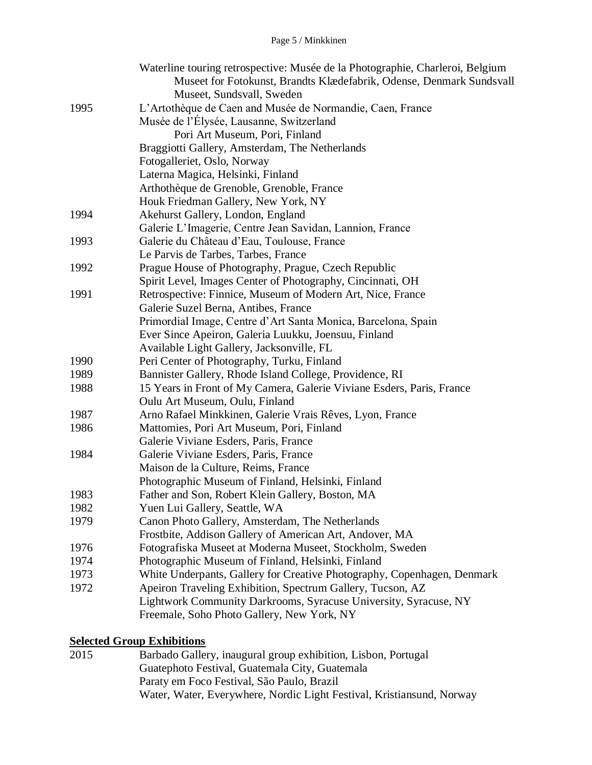|              | Waterline touring retrospective: Musée de la Photographie, Charleroi, Belgium<br>Museet for Fotokunst, Brandts Klædefabrik, Odense, Denmark Sundsvall |
|--------------|-------------------------------------------------------------------------------------------------------------------------------------------------------|
|              | Museet, Sundsvall, Sweden                                                                                                                             |
| 1995         | L'Artothèque de Caen and Musée de Normandie, Caen, France                                                                                             |
|              | Musée de l'Élysée, Lausanne, Switzerland                                                                                                              |
|              | Pori Art Museum, Pori, Finland                                                                                                                        |
|              | Braggiotti Gallery, Amsterdam, The Netherlands                                                                                                        |
|              | Fotogalleriet, Oslo, Norway                                                                                                                           |
|              |                                                                                                                                                       |
|              | Laterna Magica, Helsinki, Finland                                                                                                                     |
|              | Arthothèque de Grenoble, Grenoble, France<br>Houk Friedman Gallery, New York, NY                                                                      |
| 1994         |                                                                                                                                                       |
|              | Akehurst Gallery, London, England                                                                                                                     |
|              | Galerie L'Imagerie, Centre Jean Savidan, Lannion, France                                                                                              |
| 1993         | Galerie du Château d'Eau, Toulouse, France                                                                                                            |
|              | Le Parvis de Tarbes, Tarbes, France                                                                                                                   |
| 1992         | Prague House of Photography, Prague, Czech Republic                                                                                                   |
|              | Spirit Level, Images Center of Photography, Cincinnati, OH                                                                                            |
| 1991         | Retrospective: Finnice, Museum of Modern Art, Nice, France                                                                                            |
|              | Galerie Suzel Berna, Antibes, France                                                                                                                  |
|              | Primordial Image, Centre d'Art Santa Monica, Barcelona, Spain                                                                                         |
|              | Ever Since Apeiron, Galeria Luukku, Joensuu, Finland                                                                                                  |
|              | Available Light Gallery, Jacksonville, FL                                                                                                             |
| 1990         | Peri Center of Photography, Turku, Finland                                                                                                            |
| 1989         | Bannister Gallery, Rhode Island College, Providence, RI                                                                                               |
| 1988         | 15 Years in Front of My Camera, Galerie Viviane Esders, Paris, France                                                                                 |
| 1987         | Oulu Art Museum, Oulu, Finland                                                                                                                        |
|              | Arno Rafael Minkkinen, Galerie Vrais Rêves, Lyon, France                                                                                              |
| 1986         | Mattomies, Pori Art Museum, Pori, Finland                                                                                                             |
|              | Galerie Viviane Esders, Paris, France                                                                                                                 |
| 1984         | Galerie Viviane Esders, Paris, France                                                                                                                 |
|              | Maison de la Culture, Reims, France                                                                                                                   |
|              | Photographic Museum of Finland, Helsinki, Finland                                                                                                     |
| 1983<br>1982 | Father and Son, Robert Klein Gallery, Boston, MA                                                                                                      |
|              | Yuen Lui Gallery, Seattle, WA                                                                                                                         |
| 1979         | Canon Photo Gallery, Amsterdam, The Netherlands                                                                                                       |
|              | Frostbite, Addison Gallery of American Art, Andover, MA                                                                                               |
| 1976         | Fotografiska Museet at Moderna Museet, Stockholm, Sweden                                                                                              |
| 1974         | Photographic Museum of Finland, Helsinki, Finland                                                                                                     |
| 1973         | White Underpants, Gallery for Creative Photography, Copenhagen, Denmark                                                                               |
| 1972         | Apeiron Traveling Exhibition, Spectrum Gallery, Tucson, AZ                                                                                            |
|              | Lightwork Community Darkrooms, Syracuse University, Syracuse, NY                                                                                      |
|              | Freemale, Soho Photo Gallery, New York, NY                                                                                                            |

# **Selected Group Exhibitions**<br>2015 **Barbado Galler**

Barbado Gallery, inaugural group exhibition, Lisbon, Portugal Guatephoto Festival, Guatemala City, Guatemala Paraty em Foco Festival, São Paulo, Brazil Water, Water, Everywhere, Nordic Light Festival, Kristiansund, Norway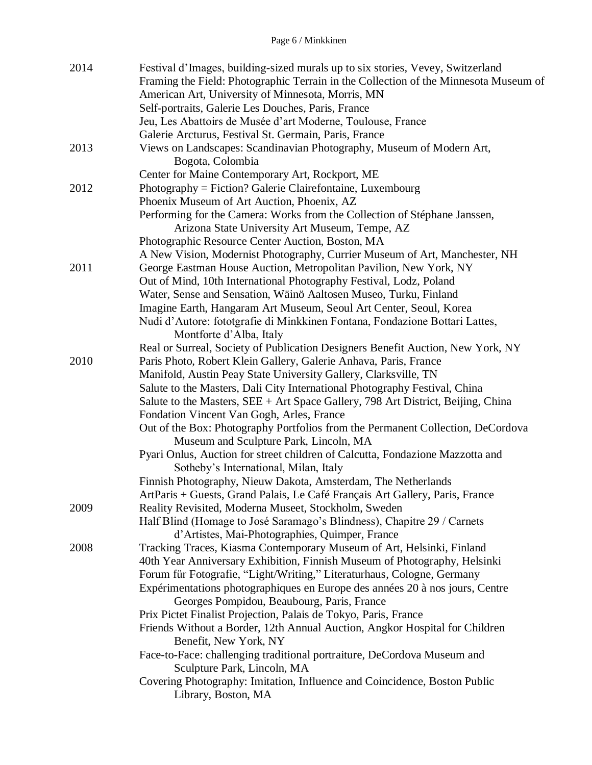| 2014 | Festival d'Images, building-sized murals up to six stories, Vevey, Switzerland                                                            |
|------|-------------------------------------------------------------------------------------------------------------------------------------------|
|      | Framing the Field: Photographic Terrain in the Collection of the Minnesota Museum of<br>American Art, University of Minnesota, Morris, MN |
|      |                                                                                                                                           |
|      | Self-portraits, Galerie Les Douches, Paris, France                                                                                        |
|      | Jeu, Les Abattoirs de Musée d'art Moderne, Toulouse, France                                                                               |
|      | Galerie Arcturus, Festival St. Germain, Paris, France                                                                                     |
| 2013 | Views on Landscapes: Scandinavian Photography, Museum of Modern Art,<br>Bogota, Colombia                                                  |
|      | Center for Maine Contemporary Art, Rockport, ME                                                                                           |
| 2012 | Photography = Fiction? Galerie Clairefontaine, Luxembourg                                                                                 |
|      | Phoenix Museum of Art Auction, Phoenix, AZ                                                                                                |
|      | Performing for the Camera: Works from the Collection of Stéphane Janssen,                                                                 |
|      | Arizona State University Art Museum, Tempe, AZ                                                                                            |
|      | Photographic Resource Center Auction, Boston, MA                                                                                          |
|      | A New Vision, Modernist Photography, Currier Museum of Art, Manchester, NH                                                                |
| 2011 | George Eastman House Auction, Metropolitan Pavilion, New York, NY                                                                         |
|      | Out of Mind, 10th International Photography Festival, Lodz, Poland                                                                        |
|      | Water, Sense and Sensation, Wäinö Aaltosen Museo, Turku, Finland                                                                          |
|      | Imagine Earth, Hangaram Art Museum, Seoul Art Center, Seoul, Korea                                                                        |
|      | Nudi d'Autore: fototgrafie di Minkkinen Fontana, Fondazione Bottari Lattes,                                                               |
|      | Montforte d'Alba, Italy                                                                                                                   |
|      | Real or Surreal, Society of Publication Designers Benefit Auction, New York, NY                                                           |
| 2010 | Paris Photo, Robert Klein Gallery, Galerie Anhava, Paris, France                                                                          |
|      | Manifold, Austin Peay State University Gallery, Clarksville, TN                                                                           |
|      | Salute to the Masters, Dali City International Photography Festival, China                                                                |
|      | Salute to the Masters, SEE + Art Space Gallery, 798 Art District, Beijing, China                                                          |
|      | Fondation Vincent Van Gogh, Arles, France                                                                                                 |
|      | Out of the Box: Photography Portfolios from the Permanent Collection, DeCordova                                                           |
|      | Museum and Sculpture Park, Lincoln, MA                                                                                                    |
|      | Pyari Onlus, Auction for street children of Calcutta, Fondazione Mazzotta and                                                             |
|      | Sotheby's International, Milan, Italy                                                                                                     |
|      | Finnish Photography, Nieuw Dakota, Amsterdam, The Netherlands                                                                             |
|      | ArtParis + Guests, Grand Palais, Le Café Français Art Gallery, Paris, France                                                              |
| 2009 | Reality Revisited, Moderna Museet, Stockholm, Sweden                                                                                      |
|      | Half Blind (Homage to José Saramago's Blindness), Chapitre 29 / Carnets                                                                   |
|      | d'Artistes, Mai-Photographies, Quimper, France                                                                                            |
| 2008 | Tracking Traces, Kiasma Contemporary Museum of Art, Helsinki, Finland                                                                     |
|      | 40th Year Anniversary Exhibition, Finnish Museum of Photography, Helsinki                                                                 |
|      | Forum für Fotografie, "Light/Writing," Literaturhaus, Cologne, Germany                                                                    |
|      | Expérimentations photographiques en Europe des années 20 à nos jours, Centre                                                              |
|      | Georges Pompidou, Beaubourg, Paris, France                                                                                                |
|      | Prix Pictet Finalist Projection, Palais de Tokyo, Paris, France                                                                           |
|      | Friends Without a Border, 12th Annual Auction, Angkor Hospital for Children                                                               |
|      | Benefit, New York, NY                                                                                                                     |
|      | Face-to-Face: challenging traditional portraiture, DeCordova Museum and                                                                   |
|      | Sculpture Park, Lincoln, MA                                                                                                               |
|      | Covering Photography: Imitation, Influence and Coincidence, Boston Public                                                                 |
|      | Library, Boston, MA                                                                                                                       |
|      |                                                                                                                                           |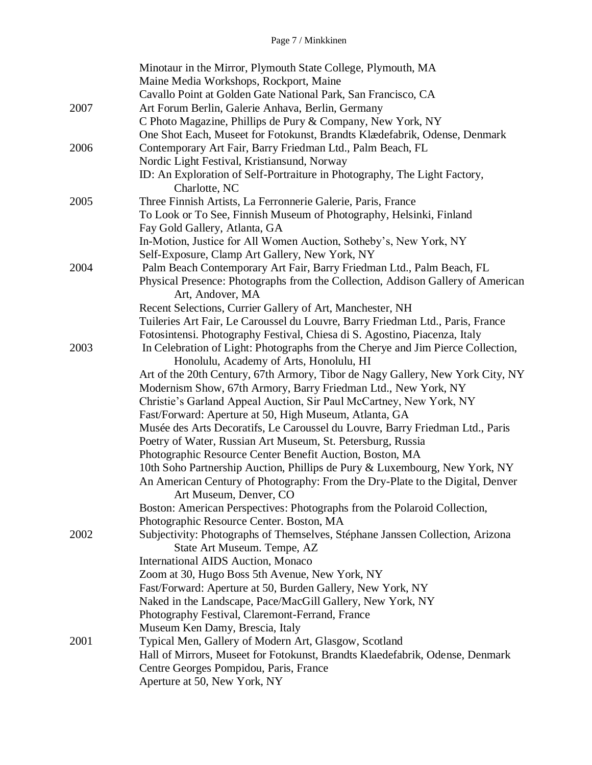|      | Minotaur in the Mirror, Plymouth State College, Plymouth, MA                                                              |
|------|---------------------------------------------------------------------------------------------------------------------------|
|      | Maine Media Workshops, Rockport, Maine                                                                                    |
|      | Cavallo Point at Golden Gate National Park, San Francisco, CA                                                             |
| 2007 | Art Forum Berlin, Galerie Anhava, Berlin, Germany                                                                         |
|      | C Photo Magazine, Phillips de Pury & Company, New York, NY                                                                |
|      | One Shot Each, Museet for Fotokunst, Brandts Klædefabrik, Odense, Denmark                                                 |
| 2006 | Contemporary Art Fair, Barry Friedman Ltd., Palm Beach, FL                                                                |
|      | Nordic Light Festival, Kristiansund, Norway                                                                               |
|      | ID: An Exploration of Self-Portraiture in Photography, The Light Factory,<br>Charlotte, NC                                |
| 2005 | Three Finnish Artists, La Ferronnerie Galerie, Paris, France                                                              |
|      | To Look or To See, Finnish Museum of Photography, Helsinki, Finland                                                       |
|      | Fay Gold Gallery, Atlanta, GA                                                                                             |
|      | In-Motion, Justice for All Women Auction, Sotheby's, New York, NY                                                         |
|      | Self-Exposure, Clamp Art Gallery, New York, NY                                                                            |
| 2004 | Palm Beach Contemporary Art Fair, Barry Friedman Ltd., Palm Beach, FL                                                     |
|      | Physical Presence: Photographs from the Collection, Addison Gallery of American                                           |
|      | Art, Andover, MA                                                                                                          |
|      | Recent Selections, Currier Gallery of Art, Manchester, NH                                                                 |
|      | Tuileries Art Fair, Le Caroussel du Louvre, Barry Friedman Ltd., Paris, France                                            |
|      | Fotosintensi. Photography Festival, Chiesa di S. Agostino, Piacenza, Italy                                                |
| 2003 | In Celebration of Light: Photographs from the Cherye and Jim Pierce Collection,                                           |
|      | Honolulu, Academy of Arts, Honolulu, HI<br>Art of the 20th Century, 67th Armory, Tibor de Nagy Gallery, New York City, NY |
|      | Modernism Show, 67th Armory, Barry Friedman Ltd., New York, NY                                                            |
|      | Christie's Garland Appeal Auction, Sir Paul McCartney, New York, NY                                                       |
|      | Fast/Forward: Aperture at 50, High Museum, Atlanta, GA                                                                    |
|      | Musée des Arts Decoratifs, Le Caroussel du Louvre, Barry Friedman Ltd., Paris                                             |
|      | Poetry of Water, Russian Art Museum, St. Petersburg, Russia                                                               |
|      | Photographic Resource Center Benefit Auction, Boston, MA                                                                  |
|      | 10th Soho Partnership Auction, Phillips de Pury & Luxembourg, New York, NY                                                |
|      | An American Century of Photography: From the Dry-Plate to the Digital, Denver                                             |
|      | Art Museum, Denver, CO                                                                                                    |
|      | Boston: American Perspectives: Photographs from the Polaroid Collection,                                                  |
|      | Photographic Resource Center. Boston, MA                                                                                  |
| 2002 | Subjectivity: Photographs of Themselves, Stéphane Janssen Collection, Arizona                                             |
|      | State Art Museum. Tempe, AZ                                                                                               |
|      | <b>International AIDS Auction, Monaco</b>                                                                                 |
|      | Zoom at 30, Hugo Boss 5th Avenue, New York, NY                                                                            |
|      | Fast/Forward: Aperture at 50, Burden Gallery, New York, NY                                                                |
|      | Naked in the Landscape, Pace/MacGill Gallery, New York, NY                                                                |
|      | Photography Festival, Claremont-Ferrand, France                                                                           |
|      | Museum Ken Damy, Brescia, Italy                                                                                           |
| 2001 | Typical Men, Gallery of Modern Art, Glasgow, Scotland                                                                     |
|      | Hall of Mirrors, Museet for Fotokunst, Brandts Klaedefabrik, Odense, Denmark                                              |
|      | Centre Georges Pompidou, Paris, France                                                                                    |
|      | Aperture at 50, New York, NY                                                                                              |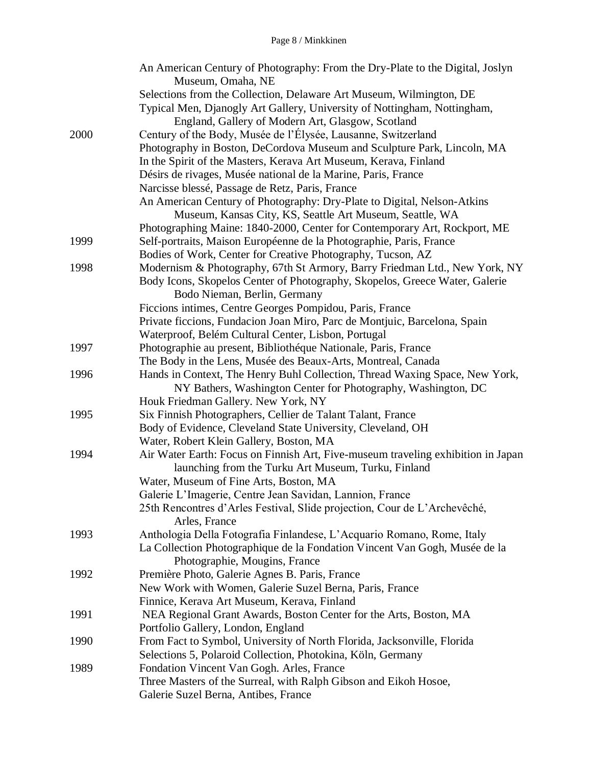|      | An American Century of Photography: From the Dry-Plate to the Digital, Joslyn    |
|------|----------------------------------------------------------------------------------|
|      | Museum, Omaha, NE                                                                |
|      | Selections from the Collection, Delaware Art Museum, Wilmington, DE              |
|      | Typical Men, Djanogly Art Gallery, University of Nottingham, Nottingham,         |
|      | England, Gallery of Modern Art, Glasgow, Scotland                                |
| 2000 | Century of the Body, Musée de l'Élysée, Lausanne, Switzerland                    |
|      | Photography in Boston, DeCordova Museum and Sculpture Park, Lincoln, MA          |
|      | In the Spirit of the Masters, Kerava Art Museum, Kerava, Finland                 |
|      | Désirs de rivages, Musée national de la Marine, Paris, France                    |
|      | Narcisse blessé, Passage de Retz, Paris, France                                  |
|      | An American Century of Photography: Dry-Plate to Digital, Nelson-Atkins          |
|      | Museum, Kansas City, KS, Seattle Art Museum, Seattle, WA                         |
|      | Photographing Maine: 1840-2000, Center for Contemporary Art, Rockport, ME        |
| 1999 | Self-portraits, Maison Européenne de la Photographie, Paris, France              |
|      | Bodies of Work, Center for Creative Photography, Tucson, AZ                      |
| 1998 | Modernism & Photography, 67th St Armory, Barry Friedman Ltd., New York, NY       |
|      | Body Icons, Skopelos Center of Photography, Skopelos, Greece Water, Galerie      |
|      | Bodo Nieman, Berlin, Germany                                                     |
|      | Ficcions intimes, Centre Georges Pompidou, Paris, France                         |
|      | Private ficcions, Fundacion Joan Miro, Parc de Montjuic, Barcelona, Spain        |
|      | Waterproof, Belém Cultural Center, Lisbon, Portugal                              |
| 1997 | Photographie au present, Bibliothéque Nationale, Paris, France                   |
|      | The Body in the Lens, Musée des Beaux-Arts, Montreal, Canada                     |
| 1996 | Hands in Context, The Henry Buhl Collection, Thread Waxing Space, New York,      |
|      | NY Bathers, Washington Center for Photography, Washington, DC                    |
|      | Houk Friedman Gallery. New York, NY                                              |
| 1995 | Six Finnish Photographers, Cellier de Talant Talant, France                      |
|      | Body of Evidence, Cleveland State University, Cleveland, OH                      |
|      | Water, Robert Klein Gallery, Boston, MA                                          |
| 1994 | Air Water Earth: Focus on Finnish Art, Five-museum traveling exhibition in Japan |
|      | launching from the Turku Art Museum, Turku, Finland                              |
|      | Water, Museum of Fine Arts, Boston, MA                                           |
|      | Galerie L'Imagerie, Centre Jean Savidan, Lannion, France                         |
|      | 25th Rencontres d'Arles Festival, Slide projection, Cour de L'Archevêché,        |
|      | Arles, France                                                                    |
| 1993 | Anthologia Della Fotografia Finlandese, L'Acquario Romano, Rome, Italy           |
|      | La Collection Photographique de la Fondation Vincent Van Gogh, Musée de la       |
|      | Photographie, Mougins, France                                                    |
| 1992 | Première Photo, Galerie Agnes B. Paris, France                                   |
|      | New Work with Women, Galerie Suzel Berna, Paris, France                          |
|      | Finnice, Kerava Art Museum, Kerava, Finland                                      |
| 1991 | NEA Regional Grant Awards, Boston Center for the Arts, Boston, MA                |
|      | Portfolio Gallery, London, England                                               |
| 1990 | From Fact to Symbol, University of North Florida, Jacksonville, Florida          |
|      | Selections 5, Polaroid Collection, Photokina, Köln, Germany                      |
| 1989 | Fondation Vincent Van Gogh. Arles, France                                        |
|      | Three Masters of the Surreal, with Ralph Gibson and Eikoh Hosoe,                 |
|      | Galerie Suzel Berna, Antibes, France                                             |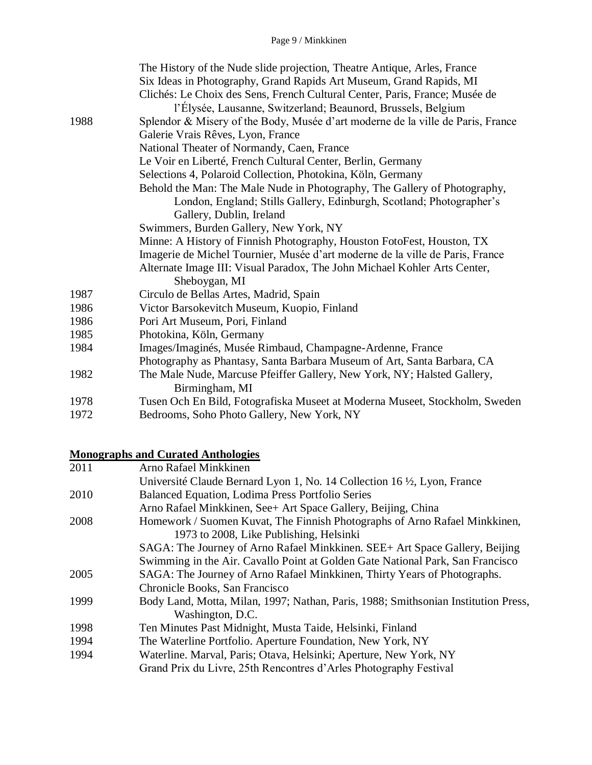|      | The History of the Nude slide projection, Theatre Antique, Arles, France<br>Six Ideas in Photography, Grand Rapids Art Museum, Grand Rapids, MI<br>Clichés: Le Choix des Sens, French Cultural Center, Paris, France; Musée de<br>l'Élysée, Lausanne, Switzerland; Beaunord, Brussels, Belgium |
|------|------------------------------------------------------------------------------------------------------------------------------------------------------------------------------------------------------------------------------------------------------------------------------------------------|
| 1988 | Splendor & Misery of the Body, Musée d'art moderne de la ville de Paris, France                                                                                                                                                                                                                |
|      | Galerie Vrais Rêves, Lyon, France                                                                                                                                                                                                                                                              |
|      | National Theater of Normandy, Caen, France                                                                                                                                                                                                                                                     |
|      | Le Voir en Liberté, French Cultural Center, Berlin, Germany                                                                                                                                                                                                                                    |
|      | Selections 4, Polaroid Collection, Photokina, Köln, Germany                                                                                                                                                                                                                                    |
|      | Behold the Man: The Male Nude in Photography, The Gallery of Photography,                                                                                                                                                                                                                      |
|      | London, England; Stills Gallery, Edinburgh, Scotland; Photographer's                                                                                                                                                                                                                           |
|      | Gallery, Dublin, Ireland                                                                                                                                                                                                                                                                       |
|      | Swimmers, Burden Gallery, New York, NY                                                                                                                                                                                                                                                         |
|      | Minne: A History of Finnish Photography, Houston FotoFest, Houston, TX                                                                                                                                                                                                                         |
|      | Imagerie de Michel Tournier, Musée d'art moderne de la ville de Paris, France                                                                                                                                                                                                                  |
|      | Alternate Image III: Visual Paradox, The John Michael Kohler Arts Center,<br>Sheboygan, MI                                                                                                                                                                                                     |
| 1987 | Circulo de Bellas Artes, Madrid, Spain                                                                                                                                                                                                                                                         |
| 1986 | Victor Barsokevitch Museum, Kuopio, Finland                                                                                                                                                                                                                                                    |
| 1986 | Pori Art Museum, Pori, Finland                                                                                                                                                                                                                                                                 |
| 1985 | Photokina, Köln, Germany                                                                                                                                                                                                                                                                       |
| 1984 | Images/Imaginés, Musée Rimbaud, Champagne-Ardenne, France                                                                                                                                                                                                                                      |
|      | Photography as Phantasy, Santa Barbara Museum of Art, Santa Barbara, CA                                                                                                                                                                                                                        |
| 1982 | The Male Nude, Marcuse Pfeiffer Gallery, New York, NY; Halsted Gallery,                                                                                                                                                                                                                        |
|      | Birmingham, MI                                                                                                                                                                                                                                                                                 |
| 1978 | Tusen Och En Bild, Fotografiska Museet at Moderna Museet, Stockholm, Sweden                                                                                                                                                                                                                    |
| 1972 | Bedrooms, Soho Photo Gallery, New York, NY                                                                                                                                                                                                                                                     |

# **Monographs and Curated Anthologies**

| 2011 | Arno Rafael Minkkinen                                                              |
|------|------------------------------------------------------------------------------------|
|      | Université Claude Bernard Lyon 1, No. 14 Collection 16 ½, Lyon, France             |
| 2010 | Balanced Equation, Lodima Press Portfolio Series                                   |
|      | Arno Rafael Minkkinen, See+ Art Space Gallery, Beijing, China                      |
| 2008 | Homework / Suomen Kuvat, The Finnish Photographs of Arno Rafael Minkkinen,         |
|      | 1973 to 2008, Like Publishing, Helsinki                                            |
|      | SAGA: The Journey of Arno Rafael Minkkinen. SEE+ Art Space Gallery, Beijing        |
|      | Swimming in the Air. Cavallo Point at Golden Gate National Park, San Francisco     |
| 2005 | SAGA: The Journey of Arno Rafael Minkkinen, Thirty Years of Photographs.           |
|      | Chronicle Books, San Francisco                                                     |
| 1999 | Body Land, Motta, Milan, 1997; Nathan, Paris, 1988; Smithsonian Institution Press, |
|      | Washington, D.C.                                                                   |
| 1998 | Ten Minutes Past Midnight, Musta Taide, Helsinki, Finland                          |
| 1994 | The Waterline Portfolio. Aperture Foundation, New York, NY                         |
| 1994 | Waterline. Marval, Paris; Otava, Helsinki; Aperture, New York, NY                  |
|      | Grand Prix du Livre, 25th Rencontres d'Arles Photography Festival                  |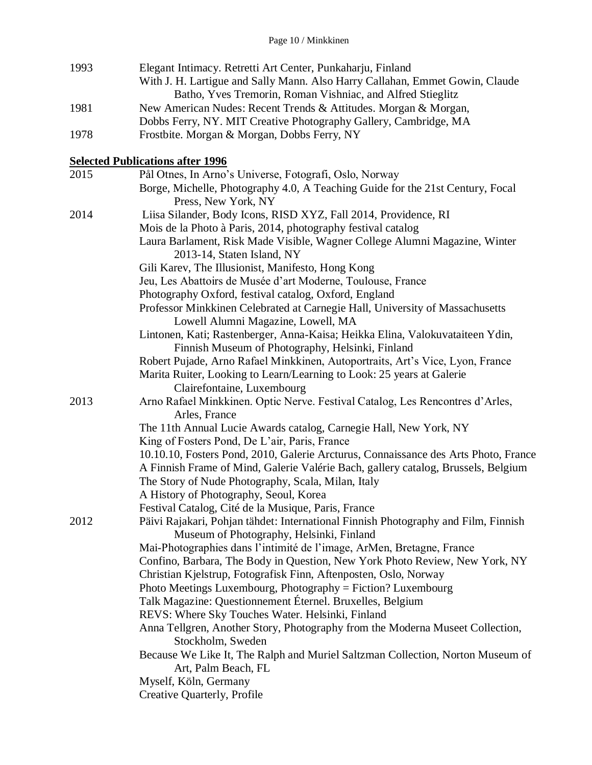| 1993 | Elegant Intimacy. Retretti Art Center, Punkaharju, Finland<br>With J. H. Lartigue and Sally Mann. Also Harry Callahan, Emmet Gowin, Claude                                                                                                                                                                                                                                                                                                                                                                                                                                                                                                                                                                                                                                                                                                    |
|------|-----------------------------------------------------------------------------------------------------------------------------------------------------------------------------------------------------------------------------------------------------------------------------------------------------------------------------------------------------------------------------------------------------------------------------------------------------------------------------------------------------------------------------------------------------------------------------------------------------------------------------------------------------------------------------------------------------------------------------------------------------------------------------------------------------------------------------------------------|
| 1981 | Batho, Yves Tremorin, Roman Vishniac, and Alfred Stieglitz<br>New American Nudes: Recent Trends & Attitudes. Morgan & Morgan,<br>Dobbs Ferry, NY. MIT Creative Photography Gallery, Cambridge, MA                                                                                                                                                                                                                                                                                                                                                                                                                                                                                                                                                                                                                                             |
| 1978 | Frostbite. Morgan & Morgan, Dobbs Ferry, NY                                                                                                                                                                                                                                                                                                                                                                                                                                                                                                                                                                                                                                                                                                                                                                                                   |
|      | <b>Selected Publications after 1996</b>                                                                                                                                                                                                                                                                                                                                                                                                                                                                                                                                                                                                                                                                                                                                                                                                       |
| 2015 | Pål Otnes, In Arno's Universe, Fotografi, Oslo, Norway<br>Borge, Michelle, Photography 4.0, A Teaching Guide for the 21st Century, Focal<br>Press, New York, NY                                                                                                                                                                                                                                                                                                                                                                                                                                                                                                                                                                                                                                                                               |
| 2014 | Liisa Silander, Body Icons, RISD XYZ, Fall 2014, Providence, RI<br>Mois de la Photo à Paris, 2014, photography festival catalog<br>Laura Barlament, Risk Made Visible, Wagner College Alumni Magazine, Winter<br>2013-14, Staten Island, NY<br>Gili Karev, The Illusionist, Manifesto, Hong Kong<br>Jeu, Les Abattoirs de Musée d'art Moderne, Toulouse, France<br>Photography Oxford, festival catalog, Oxford, England<br>Professor Minkkinen Celebrated at Carnegie Hall, University of Massachusetts<br>Lowell Alumni Magazine, Lowell, MA<br>Lintonen, Kati; Rastenberger, Anna-Kaisa; Heikka Elina, Valokuvataiteen Ydin,<br>Finnish Museum of Photography, Helsinki, Finland<br>Robert Pujade, Arno Rafael Minkkinen, Autoportraits, Art's Vice, Lyon, France<br>Marita Ruiter, Looking to Learn/Learning to Look: 25 years at Galerie |
| 2013 | Clairefontaine, Luxembourg<br>Arno Rafael Minkkinen. Optic Nerve. Festival Catalog, Les Rencontres d'Arles,<br>Arles, France<br>The 11th Annual Lucie Awards catalog, Carnegie Hall, New York, NY<br>King of Fosters Pond, De L'air, Paris, France<br>10.10.10, Fosters Pond, 2010, Galerie Arcturus, Connaissance des Arts Photo, France<br>A Finnish Frame of Mind, Galerie Valérie Bach, gallery catalog, Brussels, Belgium<br>The Story of Nude Photography, Scala, Milan, Italy<br>A History of Photography, Seoul, Korea<br>Festival Catalog, Cité de la Musique, Paris, France                                                                                                                                                                                                                                                         |
| 2012 | Päivi Rajakari, Pohjan tähdet: International Finnish Photography and Film, Finnish<br>Museum of Photography, Helsinki, Finland<br>Mai-Photographies dans l'intimité de l'image, ArMen, Bretagne, France<br>Confino, Barbara, The Body in Question, New York Photo Review, New York, NY<br>Christian Kjelstrup, Fotografisk Finn, Aftenposten, Oslo, Norway<br>Photo Meetings Luxembourg, Photography = Fiction? Luxembourg<br>Talk Magazine: Questionnement Éternel. Bruxelles, Belgium<br>REVS: Where Sky Touches Water. Helsinki, Finland<br>Anna Tellgren, Another Story, Photography from the Moderna Museet Collection,<br>Stockholm, Sweden<br>Because We Like It, The Ralph and Muriel Saltzman Collection, Norton Museum of<br>Art, Palm Beach, FL<br>Myself, Köln, Germany<br><b>Creative Quarterly, Profile</b>                     |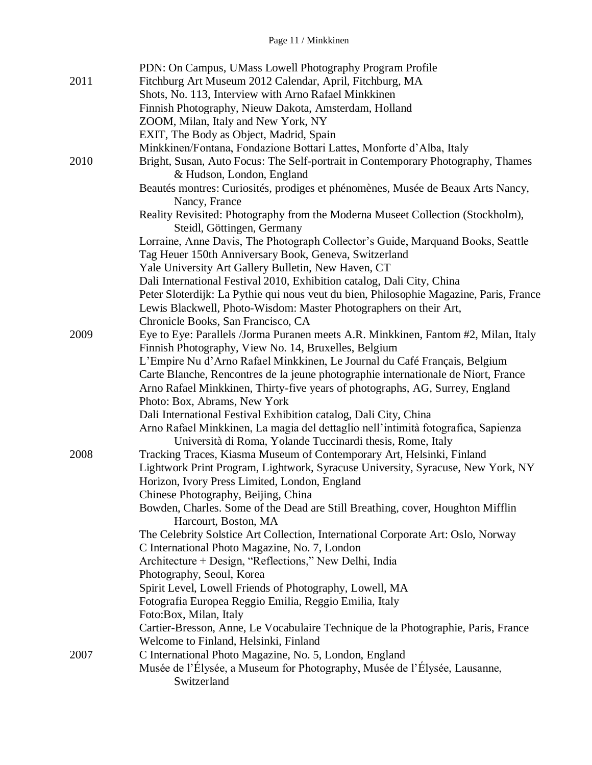|      | PDN: On Campus, UMass Lowell Photography Program Profile                                                                                        |
|------|-------------------------------------------------------------------------------------------------------------------------------------------------|
| 2011 | Fitchburg Art Museum 2012 Calendar, April, Fitchburg, MA                                                                                        |
|      | Shots, No. 113, Interview with Arno Rafael Minkkinen                                                                                            |
|      | Finnish Photography, Nieuw Dakota, Amsterdam, Holland                                                                                           |
|      | ZOOM, Milan, Italy and New York, NY                                                                                                             |
|      | EXIT, The Body as Object, Madrid, Spain                                                                                                         |
|      | Minkkinen/Fontana, Fondazione Bottari Lattes, Monforte d'Alba, Italy                                                                            |
| 2010 | Bright, Susan, Auto Focus: The Self-portrait in Contemporary Photography, Thames<br>& Hudson, London, England                                   |
|      | Beautés montres: Curiosités, prodiges et phénomènes, Musée de Beaux Arts Nancy,                                                                 |
|      | Nancy, France                                                                                                                                   |
|      | Reality Revisited: Photography from the Moderna Museet Collection (Stockholm),                                                                  |
|      | Steidl, Göttingen, Germany                                                                                                                      |
|      | Lorraine, Anne Davis, The Photograph Collector's Guide, Marquand Books, Seattle                                                                 |
|      | Tag Heuer 150th Anniversary Book, Geneva, Switzerland                                                                                           |
|      | Yale University Art Gallery Bulletin, New Haven, CT                                                                                             |
|      | Dali International Festival 2010, Exhibition catalog, Dali City, China                                                                          |
|      | Peter Sloterdijk: La Pythie qui nous veut du bien, Philosophie Magazine, Paris, France                                                          |
|      | Lewis Blackwell, Photo-Wisdom: Master Photographers on their Art,                                                                               |
|      | Chronicle Books, San Francisco, CA                                                                                                              |
| 2009 | Eye to Eye: Parallels /Jorma Puranen meets A.R. Minkkinen, Fantom #2, Milan, Italy                                                              |
|      | Finnish Photography, View No. 14, Bruxelles, Belgium                                                                                            |
|      | L'Empire Nu d'Arno Rafael Minkkinen, Le Journal du Café Français, Belgium                                                                       |
|      | Carte Blanche, Rencontres de la jeune photographie internationale de Niort, France                                                              |
|      | Arno Rafael Minkkinen, Thirty-five years of photographs, AG, Surrey, England                                                                    |
|      | Photo: Box, Abrams, New York                                                                                                                    |
|      | Dali International Festival Exhibition catalog, Dali City, China                                                                                |
|      | Arno Rafael Minkkinen, La magia del dettaglio nell'intimità fotografica, Sapienza<br>Università di Roma, Yolande Tuccinardi thesis, Rome, Italy |
| 2008 | Tracking Traces, Kiasma Museum of Contemporary Art, Helsinki, Finland                                                                           |
|      | Lightwork Print Program, Lightwork, Syracuse University, Syracuse, New York, NY                                                                 |
|      | Horizon, Ivory Press Limited, London, England                                                                                                   |
|      | Chinese Photography, Beijing, China                                                                                                             |
|      | Bowden, Charles. Some of the Dead are Still Breathing, cover, Houghton Mifflin                                                                  |
|      | Harcourt, Boston, MA                                                                                                                            |
|      | The Celebrity Solstice Art Collection, International Corporate Art: Oslo, Norway                                                                |
|      | C International Photo Magazine, No. 7, London                                                                                                   |
|      | Architecture + Design, "Reflections," New Delhi, India                                                                                          |
|      | Photography, Seoul, Korea                                                                                                                       |
|      | Spirit Level, Lowell Friends of Photography, Lowell, MA                                                                                         |
|      | Fotografia Europea Reggio Emilia, Reggio Emilia, Italy                                                                                          |
|      | Foto:Box, Milan, Italy                                                                                                                          |
|      | Cartier-Bresson, Anne, Le Vocabulaire Technique de la Photographie, Paris, France                                                               |
|      | Welcome to Finland, Helsinki, Finland                                                                                                           |
| 2007 | C International Photo Magazine, No. 5, London, England                                                                                          |
|      | Musée de l'Élysée, a Museum for Photography, Musée de l'Élysée, Lausanne,<br>Switzerland                                                        |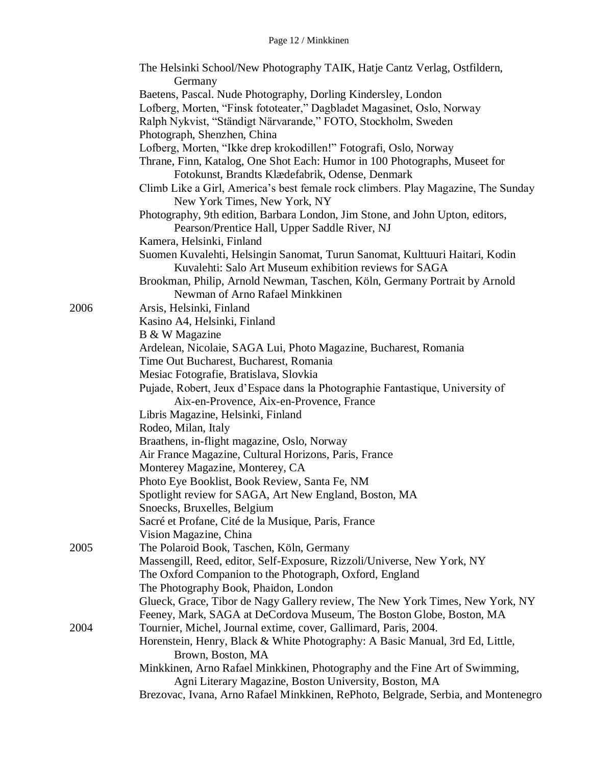|      | The Helsinki School/New Photography TAIK, Hatje Cantz Verlag, Ostfildern,         |
|------|-----------------------------------------------------------------------------------|
|      | Germany                                                                           |
|      | Baetens, Pascal. Nude Photography, Dorling Kindersley, London                     |
|      | Lofberg, Morten, "Finsk fototeater," Dagbladet Magasinet, Oslo, Norway            |
|      | Ralph Nykvist, "Ständigt Närvarande," FOTO, Stockholm, Sweden                     |
|      | Photograph, Shenzhen, China                                                       |
|      | Lofberg, Morten, "Ikke drep krokodillen!" Fotografi, Oslo, Norway                 |
|      | Thrane, Finn, Katalog, One Shot Each: Humor in 100 Photographs, Museet for        |
|      | Fotokunst, Brandts Klædefabrik, Odense, Denmark                                   |
|      | Climb Like a Girl, America's best female rock climbers. Play Magazine, The Sunday |
|      | New York Times, New York, NY                                                      |
|      | Photography, 9th edition, Barbara London, Jim Stone, and John Upton, editors,     |
|      | Pearson/Prentice Hall, Upper Saddle River, NJ                                     |
|      | Kamera, Helsinki, Finland                                                         |
|      | Suomen Kuvalehti, Helsingin Sanomat, Turun Sanomat, Kulttuuri Haitari, Kodin      |
|      | Kuvalehti: Salo Art Museum exhibition reviews for SAGA                            |
|      | Brookman, Philip, Arnold Newman, Taschen, Köln, Germany Portrait by Arnold        |
|      | Newman of Arno Rafael Minkkinen                                                   |
| 2006 | Arsis, Helsinki, Finland                                                          |
|      | Kasino A4, Helsinki, Finland                                                      |
|      | B & W Magazine                                                                    |
|      | Ardelean, Nicolaie, SAGA Lui, Photo Magazine, Bucharest, Romania                  |
|      | Time Out Bucharest, Bucharest, Romania                                            |
|      | Mesiac Fotografie, Bratislava, Slovkia                                            |
|      | Pujade, Robert, Jeux d'Espace dans la Photographie Fantastique, University of     |
|      | Aix-en-Provence, Aix-en-Provence, France                                          |
|      | Libris Magazine, Helsinki, Finland                                                |
|      | Rodeo, Milan, Italy                                                               |
|      | Braathens, in-flight magazine, Oslo, Norway                                       |
|      | Air France Magazine, Cultural Horizons, Paris, France                             |
|      | Monterey Magazine, Monterey, CA                                                   |
|      | Photo Eye Booklist, Book Review, Santa Fe, NM                                     |
|      | Spotlight review for SAGA, Art New England, Boston, MA                            |
|      | Snoecks, Bruxelles, Belgium                                                       |
|      | Sacré et Profane, Cité de la Musique, Paris, France                               |
|      | Vision Magazine, China                                                            |
| 2005 | The Polaroid Book, Taschen, Köln, Germany                                         |
|      | Massengill, Reed, editor, Self-Exposure, Rizzoli/Universe, New York, NY           |
|      | The Oxford Companion to the Photograph, Oxford, England                           |
|      | The Photography Book, Phaidon, London                                             |
|      | Glueck, Grace, Tibor de Nagy Gallery review, The New York Times, New York, NY     |
|      | Feeney, Mark, SAGA at DeCordova Museum, The Boston Globe, Boston, MA              |
| 2004 | Tournier, Michel, Journal extime, cover, Gallimard, Paris, 2004.                  |
|      | Horenstein, Henry, Black & White Photography: A Basic Manual, 3rd Ed, Little,     |
|      | Brown, Boston, MA                                                                 |
|      | Minkkinen, Arno Rafael Minkkinen, Photography and the Fine Art of Swimming,       |
|      | Agni Literary Magazine, Boston University, Boston, MA                             |
|      | Brezovac, Ivana, Arno Rafael Minkkinen, RePhoto, Belgrade, Serbia, and Montenegro |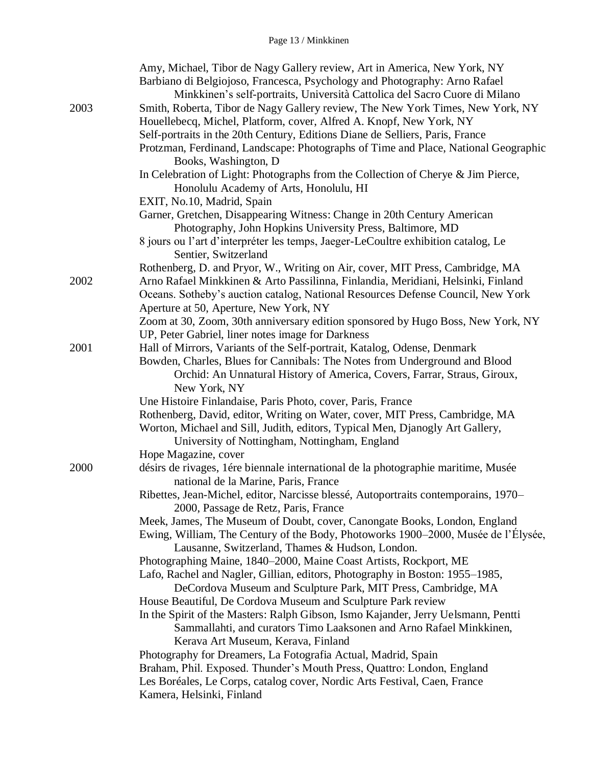|      | Amy, Michael, Tibor de Nagy Gallery review, Art in America, New York, NY                                                                                 |
|------|----------------------------------------------------------------------------------------------------------------------------------------------------------|
|      | Barbiano di Belgiojoso, Francesca, Psychology and Photography: Arno Rafael                                                                               |
|      | Minkkinen's self-portraits, Università Cattolica del Sacro Cuore di Milano                                                                               |
| 2003 | Smith, Roberta, Tibor de Nagy Gallery review, The New York Times, New York, NY                                                                           |
|      | Houellebecq, Michel, Platform, cover, Alfred A. Knopf, New York, NY                                                                                      |
|      | Self-portraits in the 20th Century, Editions Diane de Selliers, Paris, France                                                                            |
|      | Protzman, Ferdinand, Landscape: Photographs of Time and Place, National Geographic                                                                       |
|      | Books, Washington, D                                                                                                                                     |
|      | In Celebration of Light: Photographs from the Collection of Cherye & Jim Pierce,                                                                         |
|      | Honolulu Academy of Arts, Honolulu, HI                                                                                                                   |
|      | EXIT, No.10, Madrid, Spain                                                                                                                               |
|      | Garner, Gretchen, Disappearing Witness: Change in 20th Century American                                                                                  |
|      | Photography, John Hopkins University Press, Baltimore, MD                                                                                                |
|      | 8 jours ou l'art d'interpréter les temps, Jaeger-LeCoultre exhibition catalog, Le                                                                        |
|      | Sentier, Switzerland                                                                                                                                     |
|      | Rothenberg, D. and Pryor, W., Writing on Air, cover, MIT Press, Cambridge, MA                                                                            |
| 2002 | Arno Rafael Minkkinen & Arto Passilinna, Finlandia, Meridiani, Helsinki, Finland                                                                         |
|      | Oceans. Sotheby's auction catalog, National Resources Defense Council, New York                                                                          |
|      | Aperture at 50, Aperture, New York, NY                                                                                                                   |
|      | Zoom at 30, Zoom, 30th anniversary edition sponsored by Hugo Boss, New York, NY                                                                          |
|      | UP, Peter Gabriel, liner notes image for Darkness                                                                                                        |
| 2001 | Hall of Mirrors, Variants of the Self-portrait, Katalog, Odense, Denmark                                                                                 |
|      | Bowden, Charles, Blues for Cannibals: The Notes from Underground and Blood                                                                               |
|      | Orchid: An Unnatural History of America, Covers, Farrar, Straus, Giroux,                                                                                 |
|      | New York, NY                                                                                                                                             |
|      | Une Histoire Finlandaise, Paris Photo, cover, Paris, France                                                                                              |
|      | Rothenberg, David, editor, Writing on Water, cover, MIT Press, Cambridge, MA                                                                             |
|      | Worton, Michael and Sill, Judith, editors, Typical Men, Djanogly Art Gallery,                                                                            |
|      | University of Nottingham, Nottingham, England                                                                                                            |
|      | Hope Magazine, cover                                                                                                                                     |
| 2000 | désirs de rivages, 1ére biennale international de la photographie maritime, Musée                                                                        |
|      | national de la Marine, Paris, France                                                                                                                     |
|      | Ribettes, Jean-Michel, editor, Narcisse blessé, Autoportraits contemporains, 1970-                                                                       |
|      | 2000, Passage de Retz, Paris, France                                                                                                                     |
|      | Meek, James, The Museum of Doubt, cover, Canongate Books, London, England                                                                                |
|      | Ewing, William, The Century of the Body, Photoworks 1900–2000, Musée de l'Élysée,                                                                        |
|      | Lausanne, Switzerland, Thames & Hudson, London.                                                                                                          |
|      | Photographing Maine, 1840–2000, Maine Coast Artists, Rockport, ME                                                                                        |
|      | Lafo, Rachel and Nagler, Gillian, editors, Photography in Boston: 1955-1985,<br>DeCordova Museum and Sculpture Park, MIT Press, Cambridge, MA            |
|      | House Beautiful, De Cordova Museum and Sculpture Park review                                                                                             |
|      |                                                                                                                                                          |
|      | In the Spirit of the Masters: Ralph Gibson, Ismo Kajander, Jerry Uelsmann, Pentti<br>Sammallahti, and curators Timo Laaksonen and Arno Rafael Minkkinen, |
|      |                                                                                                                                                          |
|      | Kerava Art Museum, Kerava, Finland<br>Photography for Dreamers, La Fotografia Actual, Madrid, Spain                                                      |
|      | Braham, Phil. Exposed. Thunder's Mouth Press, Quattro: London, England                                                                                   |
|      | Les Boréales, Le Corps, catalog cover, Nordic Arts Festival, Caen, France                                                                                |
|      | Kamera, Helsinki, Finland                                                                                                                                |
|      |                                                                                                                                                          |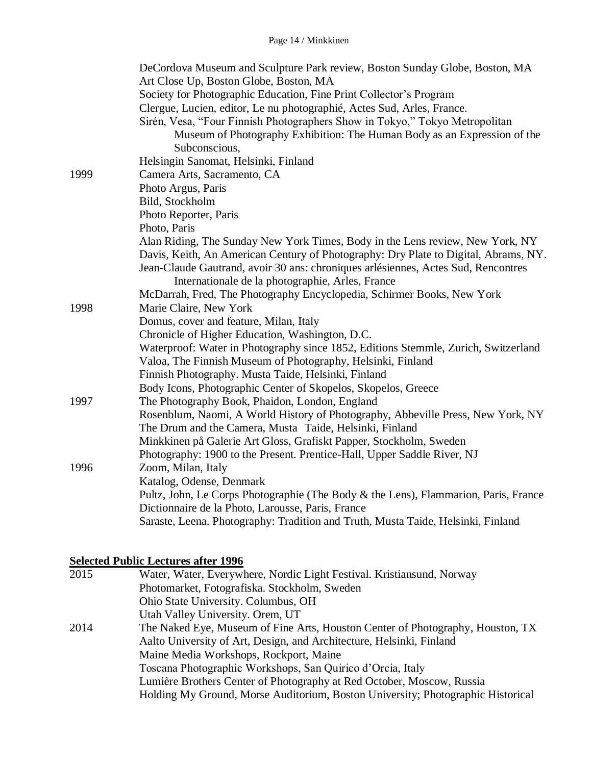|      | DeCordova Museum and Sculpture Park review, Boston Sunday Globe, Boston, MA<br>Art Close Up, Boston Globe, Boston, MA |
|------|-----------------------------------------------------------------------------------------------------------------------|
|      | Society for Photographic Education, Fine Print Collector's Program                                                    |
|      | Clergue, Lucien, editor, Le nu photographié, Actes Sud, Arles, France.                                                |
|      | Sirén, Vesa, "Four Finnish Photographers Show in Tokyo," Tokyo Metropolitan                                           |
|      | Museum of Photography Exhibition: The Human Body as an Expression of the                                              |
|      | Subconscious,                                                                                                         |
|      | Helsingin Sanomat, Helsinki, Finland                                                                                  |
| 1999 | Camera Arts, Sacramento, CA                                                                                           |
|      | Photo Argus, Paris                                                                                                    |
|      | Bild, Stockholm                                                                                                       |
|      | Photo Reporter, Paris                                                                                                 |
|      | Photo, Paris                                                                                                          |
|      | Alan Riding, The Sunday New York Times, Body in the Lens review, New York, NY                                         |
|      | Davis, Keith, An American Century of Photography: Dry Plate to Digital, Abrams, NY.                                   |
|      | Jean-Claude Gautrand, avoir 30 ans: chroniques arlésiennes, Actes Sud, Rencontres                                     |
|      | Internationale de la photographie, Arles, France                                                                      |
|      | McDarrah, Fred, The Photography Encyclopedia, Schirmer Books, New York                                                |
| 1998 | Marie Claire, New York                                                                                                |
|      | Domus, cover and feature, Milan, Italy                                                                                |
|      | Chronicle of Higher Education, Washington, D.C.                                                                       |
|      | Waterproof: Water in Photography since 1852, Editions Stemmle, Zurich, Switzerland                                    |
|      | Valoa, The Finnish Museum of Photography, Helsinki, Finland                                                           |
|      | Finnish Photography. Musta Taide, Helsinki, Finland                                                                   |
|      | Body Icons, Photographic Center of Skopelos, Skopelos, Greece                                                         |
| 1997 | The Photography Book, Phaidon, London, England                                                                        |
|      | Rosenblum, Naomi, A World History of Photography, Abbeville Press, New York, NY                                       |
|      | The Drum and the Camera, Musta Taide, Helsinki, Finland                                                               |
|      | Minkkinen på Galerie Art Gloss, Grafiskt Papper, Stockholm, Sweden                                                    |
|      | Photography: 1900 to the Present. Prentice-Hall, Upper Saddle River, NJ                                               |
| 1996 | Zoom, Milan, Italy                                                                                                    |
|      | Katalog, Odense, Denmark                                                                                              |
|      | Pultz, John, Le Corps Photographie (The Body & the Lens), Flammarion, Paris, France                                   |
|      | Dictionnaire de la Photo, Larousse, Paris, France                                                                     |
|      | Saraste, Leena. Photography: Tradition and Truth, Musta Taide, Helsinki, Finland                                      |

## **Selected Public Lectures after 1996**

| 2015 | Water, Water, Everywhere, Nordic Light Festival. Kristiansund, Norway           |
|------|---------------------------------------------------------------------------------|
|      | Photomarket, Fotografiska. Stockholm, Sweden                                    |
|      | Ohio State University. Columbus, OH                                             |
|      | Utah Valley University. Orem, UT                                                |
| 2014 | The Naked Eye, Museum of Fine Arts, Houston Center of Photography, Houston, TX  |
|      | Aalto University of Art, Design, and Architecture, Helsinki, Finland            |
|      | Maine Media Workshops, Rockport, Maine                                          |
|      | Toscana Photographic Workshops, San Quirico d'Orcia, Italy                      |
|      | Lumière Brothers Center of Photography at Red October, Moscow, Russia           |
|      | Holding My Ground, Morse Auditorium, Boston University; Photographic Historical |
|      |                                                                                 |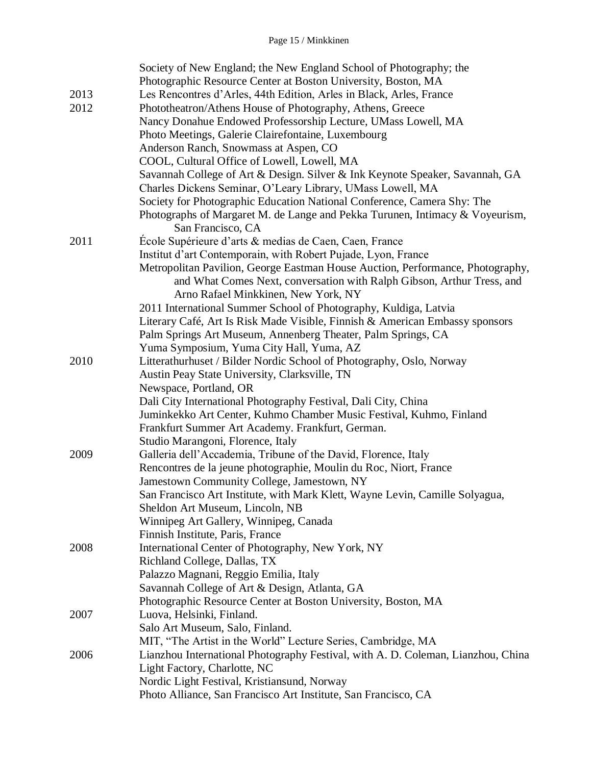|      | Society of New England; the New England School of Photography; the                    |
|------|---------------------------------------------------------------------------------------|
|      | Photographic Resource Center at Boston University, Boston, MA                         |
| 2013 | Les Rencontres d'Arles, 44th Edition, Arles in Black, Arles, France                   |
| 2012 | Phototheatron/Athens House of Photography, Athens, Greece                             |
|      | Nancy Donahue Endowed Professorship Lecture, UMass Lowell, MA                         |
|      | Photo Meetings, Galerie Clairefontaine, Luxembourg                                    |
|      | Anderson Ranch, Snowmass at Aspen, CO                                                 |
|      | COOL, Cultural Office of Lowell, Lowell, MA                                           |
|      | Savannah College of Art & Design. Silver & Ink Keynote Speaker, Savannah, GA          |
|      | Charles Dickens Seminar, O'Leary Library, UMass Lowell, MA                            |
|      | Society for Photographic Education National Conference, Camera Shy: The               |
|      | Photographs of Margaret M. de Lange and Pekka Turunen, Intimacy & Voyeurism,          |
|      | San Francisco, CA                                                                     |
| 2011 | École Supérieure d'arts & medias de Caen, Caen, France                                |
|      | Institut d'art Contemporain, with Robert Pujade, Lyon, France                         |
|      | Metropolitan Pavilion, George Eastman House Auction, Performance, Photography,        |
|      | and What Comes Next, conversation with Ralph Gibson, Arthur Tress, and                |
|      | Arno Rafael Minkkinen, New York, NY                                                   |
|      | 2011 International Summer School of Photography, Kuldiga, Latvia                      |
|      | Literary Café, Art Is Risk Made Visible, Finnish & American Embassy sponsors          |
|      | Palm Springs Art Museum, Annenberg Theater, Palm Springs, CA                          |
|      | Yuma Symposium, Yuma City Hall, Yuma, AZ                                              |
| 2010 | Litterathurhuset / Bilder Nordic School of Photography, Oslo, Norway                  |
|      | Austin Peay State University, Clarksville, TN                                         |
|      | Newspace, Portland, OR                                                                |
|      | Dali City International Photography Festival, Dali City, China                        |
|      | Juminkekko Art Center, Kuhmo Chamber Music Festival, Kuhmo, Finland                   |
|      | Frankfurt Summer Art Academy. Frankfurt, German.                                      |
|      | Studio Marangoni, Florence, Italy                                                     |
| 2009 | Galleria dell'Accademia, Tribune of the David, Florence, Italy                        |
|      | Rencontres de la jeune photographie, Moulin du Roc, Niort, France                     |
|      | Jamestown Community College, Jamestown, NY                                            |
|      | San Francisco Art Institute, with Mark Klett, Wayne Levin, Camille Solyagua,          |
|      | Sheldon Art Museum, Lincoln, NB                                                       |
|      | Winnipeg Art Gallery, Winnipeg, Canada                                                |
| 2008 | Finnish Institute, Paris, France<br>International Center of Photography, New York, NY |
|      | Richland College, Dallas, TX                                                          |
|      | Palazzo Magnani, Reggio Emilia, Italy                                                 |
|      | Savannah College of Art & Design, Atlanta, GA                                         |
|      | Photographic Resource Center at Boston University, Boston, MA                         |
| 2007 | Luova, Helsinki, Finland.                                                             |
|      | Salo Art Museum, Salo, Finland.                                                       |
|      | MIT, "The Artist in the World" Lecture Series, Cambridge, MA                          |
| 2006 | Lianzhou International Photography Festival, with A. D. Coleman, Lianzhou, China      |
|      | Light Factory, Charlotte, NC                                                          |
|      | Nordic Light Festival, Kristiansund, Norway                                           |
|      | Photo Alliance, San Francisco Art Institute, San Francisco, CA                        |
|      |                                                                                       |